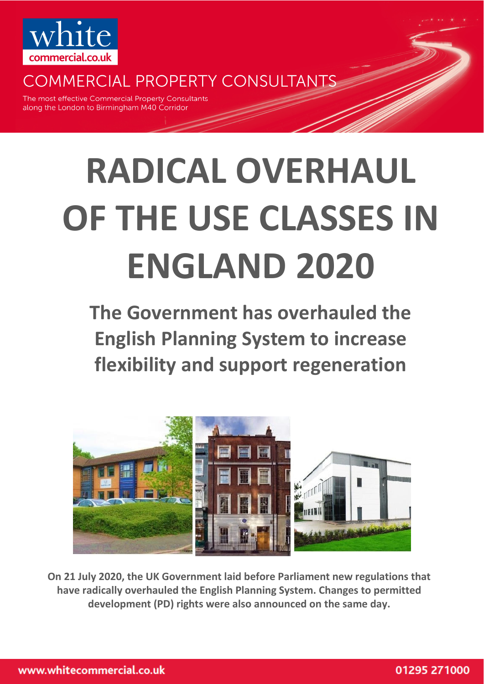

**COMMERCIAL PROPERTY CONSULTANTS** 

The most effective Commercial Property Consultants along the London to Birmingham M40 Corridor

# **RADICAL OVERHAUL OF THE USE CLASSES IN ENGLAND 2020**

**The Government has overhauled the English Planning System to increase flexibility and support regeneration** 



**On 21 July 2020, the UK Government laid before Parliament new regulations that have radically overhauled the English Planning System. Changes to permitted development (PD) rights were also announced on the same day.**